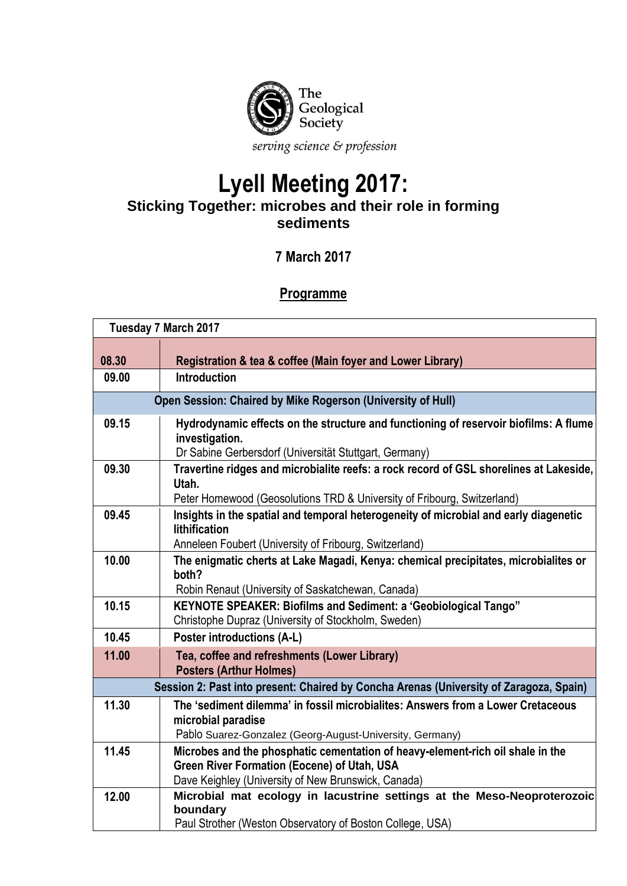

## **Lyell Meeting 2017: Sticking Together: microbes and their role in forming sediments**

## **7 March 2017**

## **Programme**

| <b>Tuesday 7 March 2017</b>                                                            |                                                                                                                                                                   |  |
|----------------------------------------------------------------------------------------|-------------------------------------------------------------------------------------------------------------------------------------------------------------------|--|
|                                                                                        |                                                                                                                                                                   |  |
| 08.30                                                                                  | Registration & tea & coffee (Main foyer and Lower Library)                                                                                                        |  |
| 09.00                                                                                  | <b>Introduction</b>                                                                                                                                               |  |
| Open Session: Chaired by Mike Rogerson (University of Hull)                            |                                                                                                                                                                   |  |
| 09.15                                                                                  | Hydrodynamic effects on the structure and functioning of reservoir biofilms: A flume<br>investigation.                                                            |  |
|                                                                                        | Dr Sabine Gerbersdorf (Universität Stuttgart, Germany)                                                                                                            |  |
| 09.30                                                                                  | Travertine ridges and microbialite reefs: a rock record of GSL shorelines at Lakeside,<br>Utah.                                                                   |  |
|                                                                                        | Peter Homewood (Geosolutions TRD & University of Fribourg, Switzerland)                                                                                           |  |
| 09.45                                                                                  | Insights in the spatial and temporal heterogeneity of microbial and early diagenetic<br>lithification                                                             |  |
|                                                                                        | Anneleen Foubert (University of Fribourg, Switzerland)                                                                                                            |  |
| 10.00                                                                                  | The enigmatic cherts at Lake Magadi, Kenya: chemical precipitates, microbialites or<br>both?<br>Robin Renaut (University of Saskatchewan, Canada)                 |  |
| 10.15                                                                                  | KEYNOTE SPEAKER: Biofilms and Sediment: a 'Geobiological Tango"                                                                                                   |  |
|                                                                                        | Christophe Dupraz (University of Stockholm, Sweden)                                                                                                               |  |
| 10.45                                                                                  | <b>Poster introductions (A-L)</b>                                                                                                                                 |  |
| 11.00                                                                                  | Tea, coffee and refreshments (Lower Library)<br><b>Posters (Arthur Holmes)</b>                                                                                    |  |
| Session 2: Past into present: Chaired by Concha Arenas (University of Zaragoza, Spain) |                                                                                                                                                                   |  |
| 11.30                                                                                  | The 'sediment dilemma' in fossil microbialites: Answers from a Lower Cretaceous<br>microbial paradise<br>Pablo Suarez-Gonzalez (Georg-August-University, Germany) |  |
| 11.45                                                                                  | Microbes and the phosphatic cementation of heavy-element-rich oil shale in the                                                                                    |  |
|                                                                                        | <b>Green River Formation (Eocene) of Utah, USA</b><br>Dave Keighley (University of New Brunswick, Canada)                                                         |  |
| 12.00                                                                                  | Microbial mat ecology in lacustrine settings at the Meso-Neoproterozoic<br>boundary<br>Paul Strother (Weston Observatory of Boston College, USA)                  |  |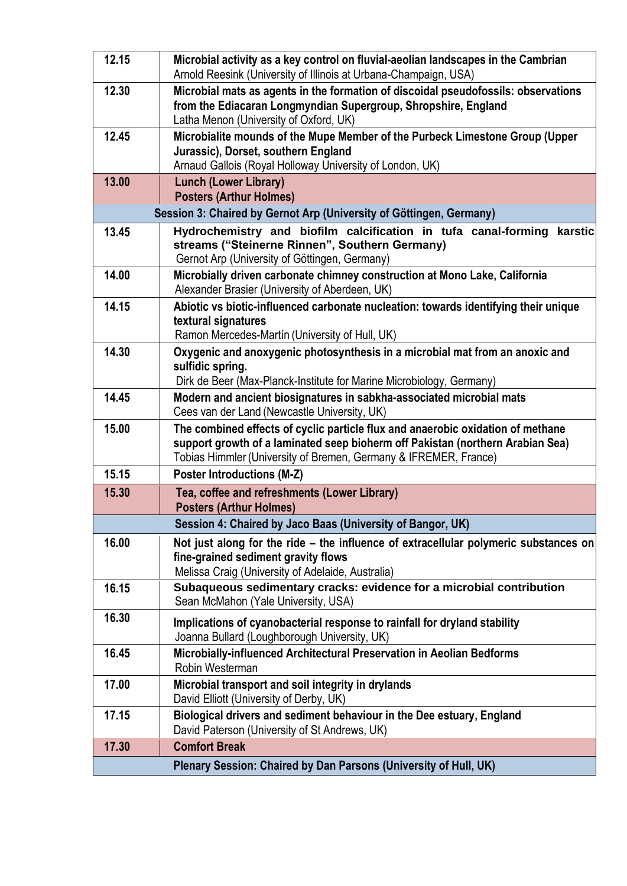| 12.15                                                               | Microbial activity as a key control on fluvial-aeolian landscapes in the Cambrian<br>Arnold Reesink (University of Illinois at Urbana-Champaign, USA)                                                                                 |  |
|---------------------------------------------------------------------|---------------------------------------------------------------------------------------------------------------------------------------------------------------------------------------------------------------------------------------|--|
| 12.30                                                               | Microbial mats as agents in the formation of discoidal pseudofossils: observations<br>from the Ediacaran Longmyndian Supergroup, Shropshire, England<br>Latha Menon (University of Oxford, UK)                                        |  |
| 12.45                                                               | Microbialite mounds of the Mupe Member of the Purbeck Limestone Group (Upper<br>Jurassic), Dorset, southern England<br>Arnaud Gallois (Royal Holloway University of London, UK)                                                       |  |
| 13.00                                                               | <b>Lunch (Lower Library)</b><br><b>Posters (Arthur Holmes)</b>                                                                                                                                                                        |  |
| Session 3: Chaired by Gernot Arp (University of Göttingen, Germany) |                                                                                                                                                                                                                                       |  |
| 13.45                                                               | Hydrochemistry and biofilm calcification in tufa canal-forming<br>karstic<br>streams ("Steinerne Rinnen", Southern Germany)<br>Gernot Arp (University of Göttingen, Germany)                                                          |  |
| 14.00                                                               | Microbially driven carbonate chimney construction at Mono Lake, California<br>Alexander Brasier (University of Aberdeen, UK)                                                                                                          |  |
| 14.15                                                               | Abiotic vs biotic-influenced carbonate nucleation: towards identifying their unique<br>textural signatures<br>Ramon Mercedes-Martín (University of Hull, UK)                                                                          |  |
| 14.30                                                               | Oxygenic and anoxygenic photosynthesis in a microbial mat from an anoxic and<br>sulfidic spring.<br>Dirk de Beer (Max-Planck-Institute for Marine Microbiology, Germany)                                                              |  |
| 14.45                                                               | Modern and ancient biosignatures in sabkha-associated microbial mats<br>Cees van der Land (Newcastle University, UK)                                                                                                                  |  |
| 15.00                                                               | The combined effects of cyclic particle flux and anaerobic oxidation of methane<br>support growth of a laminated seep bioherm off Pakistan (northern Arabian Sea)<br>Tobias Himmler (University of Bremen, Germany & IFREMER, France) |  |
| 15.15                                                               | <b>Poster Introductions (M-Z)</b>                                                                                                                                                                                                     |  |
| 15.30                                                               | Tea, coffee and refreshments (Lower Library)<br><b>Posters (Arthur Holmes)</b>                                                                                                                                                        |  |
|                                                                     | Session 4: Chaired by Jaco Baas (University of Bangor, UK)                                                                                                                                                                            |  |
| 16.00                                                               | Not just along for the ride – the influence of extracellular polymeric substances on<br>fine-grained sediment gravity flows<br>Melissa Craig (University of Adelaide, Australia)                                                      |  |
| 16.15                                                               | Subaqueous sedimentary cracks: evidence for a microbial contribution<br>Sean McMahon (Yale University, USA)                                                                                                                           |  |
| 16.30                                                               | Implications of cyanobacterial response to rainfall for dryland stability<br>Joanna Bullard (Loughborough University, UK)                                                                                                             |  |
| 16.45                                                               | Microbially-influenced Architectural Preservation in Aeolian Bedforms<br>Robin Westerman                                                                                                                                              |  |
| 17.00                                                               | Microbial transport and soil integrity in drylands<br>David Elliott (University of Derby, UK)                                                                                                                                         |  |
| 17.15                                                               | Biological drivers and sediment behaviour in the Dee estuary, England<br>David Paterson (University of St Andrews, UK)                                                                                                                |  |
| 17.30                                                               | <b>Comfort Break</b>                                                                                                                                                                                                                  |  |
|                                                                     | Plenary Session: Chaired by Dan Parsons (University of Hull, UK)                                                                                                                                                                      |  |